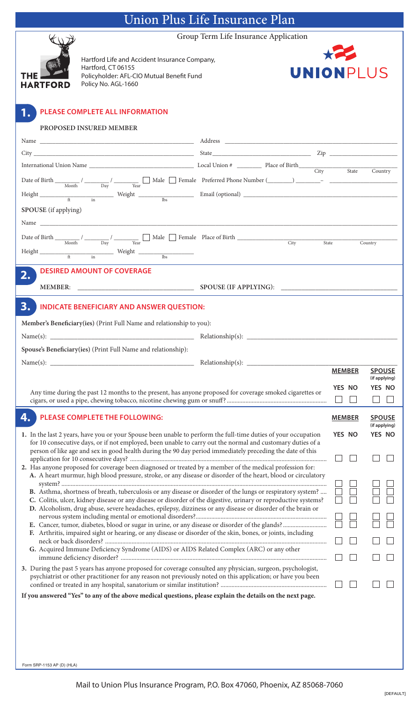## Union Plus Life Insurance Plan

Group Term Life Insurance Application



**1.**

Hartford Life and Accident Insurance Company, Hartford, CT 06155 Policyholder: AFL-CIO Mutual Benefit Fund Policy No. AGL-1660



### **PLEASE COMPLETE ALL INFORMATION**

### **ProPosed Insured MeMber**

| $Height \frac{1}{\text{ft}}$ $Weight \frac{1}{\text{lb}}$ Email (optional) $5$                                                                                                                                                 |                            |               |                                |  |  |  |  |
|--------------------------------------------------------------------------------------------------------------------------------------------------------------------------------------------------------------------------------|----------------------------|---------------|--------------------------------|--|--|--|--|
| SPOUSE (if applying)                                                                                                                                                                                                           |                            |               |                                |  |  |  |  |
|                                                                                                                                                                                                                                |                            |               |                                |  |  |  |  |
|                                                                                                                                                                                                                                |                            |               |                                |  |  |  |  |
| Date of Birth $\frac{1}{\text{Month}}$ $\frac{1}{\text{Day}}$ $\frac{1}{\text{Year}}$ $\frac{1}{\text{Year}}$ Male $\frac{1}{\text{Frame}}$ Female Place of Birth                                                              | $\overline{\mathrm{City}}$ | State         | Country                        |  |  |  |  |
| $\begin{tabular}{lllllllll} Height & \quad & \quad & \quad \text{Weight} & \quad \text{ } \\ \hline & \text{ft} & \text{ in} & \quad \text{ } \\ \end{tabular}$                                                                |                            |               |                                |  |  |  |  |
| <b>DESIRED AMOUNT OF COVERAGE</b><br>2.                                                                                                                                                                                        |                            |               |                                |  |  |  |  |
| <b>MEMBER:</b>                                                                                                                                                                                                                 |                            |               |                                |  |  |  |  |
| 3.<br><b>INDICATE BENEFICIARY AND ANSWER QUESTION:</b>                                                                                                                                                                         |                            |               |                                |  |  |  |  |
| Member's Beneficiary(ies) (Print Full Name and relationship to you):                                                                                                                                                           |                            |               |                                |  |  |  |  |
|                                                                                                                                                                                                                                |                            |               |                                |  |  |  |  |
| Spouse's Beneficiary(ies) (Print Full Name and relationship):                                                                                                                                                                  |                            |               |                                |  |  |  |  |
|                                                                                                                                                                                                                                |                            |               |                                |  |  |  |  |
|                                                                                                                                                                                                                                |                            | <b>MEMBER</b> | <b>SPOUSE</b><br>(if applying) |  |  |  |  |
| Any time during the past 12 months to the present, has anyone proposed for coverage smoked cigarettes or                                                                                                                       |                            | YES NO        | <b>YES NO</b>                  |  |  |  |  |
|                                                                                                                                                                                                                                |                            | $\Box$        |                                |  |  |  |  |
| 4. PLEASE COMPLETE THE FOLLOWING:                                                                                                                                                                                              | <b>MEMBER</b>              | <b>SPOUSE</b> |                                |  |  |  |  |
| 1. In the last 2 years, have you or your Spouse been unable to perform the full-time duties of your occupation                                                                                                                 |                            | YES NO        | (if applying)<br>YES NO        |  |  |  |  |
| for 10 consecutive days, or if not employed, been unable to carry out the normal and customary duties of a                                                                                                                     |                            |               |                                |  |  |  |  |
| person of like age and sex in good health during the 90 day period immediately preceding the date of this                                                                                                                      |                            |               |                                |  |  |  |  |
| 2. Has anyone proposed for coverage been diagnosed or treated by a member of the medical profession for:                                                                                                                       |                            |               |                                |  |  |  |  |
| A. A heart murmur, high blood pressure, stroke, or any disease or disorder of the heart, blood or circulatory                                                                                                                  |                            |               |                                |  |  |  |  |
| B. Asthma, shortness of breath, tuberculosis or any disease or disorder of the lungs or respiratory system?                                                                                                                    |                            |               |                                |  |  |  |  |
| C. Colitis, ulcer, kidney disease or any disease or disorder of the digestive, urinary or reproductive systems?<br>D. Alcoholism, drug abuse, severe headaches, epilepsy, dizziness or any disease or disorder of the brain or |                            |               |                                |  |  |  |  |
|                                                                                                                                                                                                                                |                            |               |                                |  |  |  |  |
| F. Arthritis, impaired sight or hearing, or any disease or disorder of the skin, bones, or joints, including                                                                                                                   |                            |               |                                |  |  |  |  |
| G. Acquired Immune Deficiency Syndrome (AIDS) or AIDS Related Complex (ARC) or any other                                                                                                                                       |                            |               |                                |  |  |  |  |
|                                                                                                                                                                                                                                |                            |               |                                |  |  |  |  |
| 3. During the past 5 years has anyone proposed for coverage consulted any physician, surgeon, psychologist,<br>psychiatrist or other practitioner for any reason not previously noted on this application; or have you been    |                            |               |                                |  |  |  |  |
|                                                                                                                                                                                                                                |                            |               |                                |  |  |  |  |
| If you answered "Yes" to any of the above medical questions, please explain the details on the next page.                                                                                                                      |                            |               |                                |  |  |  |  |
|                                                                                                                                                                                                                                |                            |               |                                |  |  |  |  |

Form SRP-1153 AP (D) (HLA)